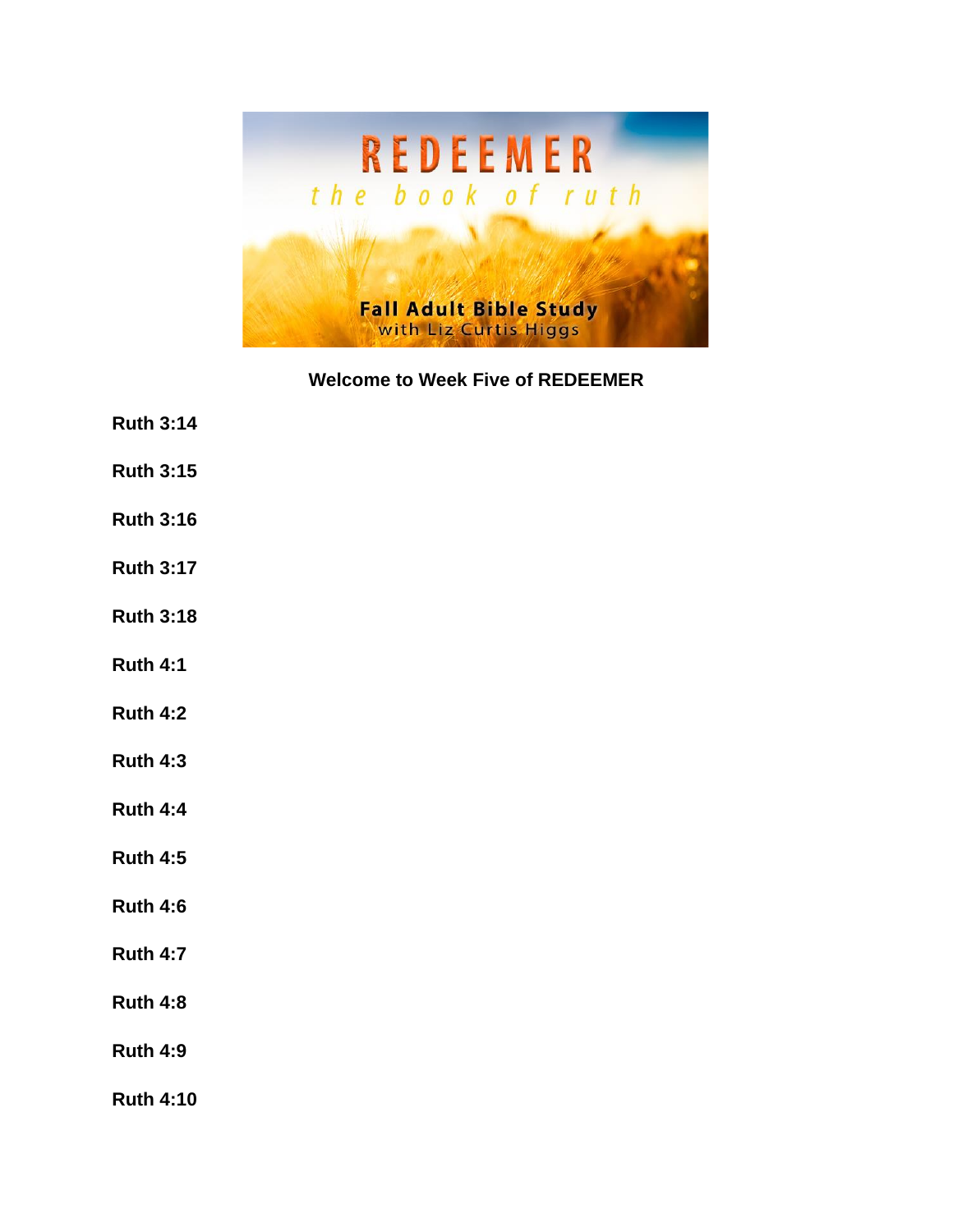

**Welcome to Week Five of REDEEMER**

- **Ruth 3:14**
- **Ruth 3:15**
- **Ruth 3:16**
- **Ruth 3:17**
- **Ruth 3:18**
- **Ruth 4:1**
- **Ruth 4:2**
- **Ruth 4:3**
- **Ruth 4:4**
- **Ruth 4:5**
- **Ruth 4:6**
- **Ruth 4:7**
- **Ruth 4:8**
- **Ruth 4:9**
- **Ruth 4:10**